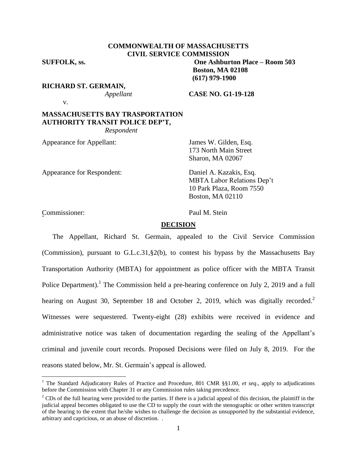## **COMMONWEALTH OF MASSACHUSETTS CIVIL SERVICE COMMISSION**

**SUFFOLK, ss. One Ashburton Place – Room 503**

## **RICHARD ST. GERMAIN,**

*Appellant* **CASE NO. G1-19-128**

**Boston, MA 02108 (617) 979-1900**

v.

## **MASSACHUSETTS BAY TRASPORTATION AUTHORITY TRANSIT POLICE DEP'T,**

*Respondent*

Appearance for Appellant: James W. Gilden, Esq.

Appearance for Respondent: Daniel A. Kazakis, Esq.

173 North Main Street Sharon, MA 02067

MBTA Labor Relations Dep't 10 Park Plaza, Room 7550 Boston, MA 02110

Commissioner: Paul M. Stein <sup>2</sup>

 $\overline{a}$ 

## **DECISION**

The Appellant, Richard St. Germain, appealed to the Civil Service Commission (Commission), pursuant to G.L.c.31,§2(b), to contest his bypass by the Massachusetts Bay Transportation Authority (MBTA) for appointment as police officer with the MBTA Transit Police Department).<sup>1</sup> The Commission held a pre-hearing conference on July 2, 2019 and a full hearing on August 30, September 18 and October 2, 2019, which was digitally recorded.<sup>2</sup> Witnesses were sequestered. Twenty-eight (28) exhibits were received in evidence and administrative notice was taken of documentation regarding the sealing of the Appellant's criminal and juvenile court records. Proposed Decisions were filed on July 8, 2019. For the reasons stated below, Mr. St. Germain's appeal is allowed.

<sup>1</sup> The Standard Adjudicatory Rules of Practice and Procedure, 801 CMR §§1.00, *et seq*., apply to adjudications before the Commission with Chapter 31 or any Commission rules taking precedence.

<sup>&</sup>lt;sup>2</sup> CDs of the full hearing were provided to the parties. If there is a judicial appeal of this decision, the plaintiff in the judicial appeal becomes obligated to use the CD to supply the court with the stenographic or other written transcript of the hearing to the extent that he/she wishes to challenge the decision as unsupported by the substantial evidence, arbitrary and capricious, or an abuse of discretion. .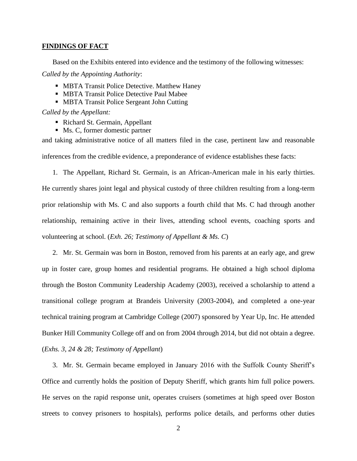#### **FINDINGS OF FACT**

Based on the Exhibits entered into evidence and the testimony of the following witnesses: *Called by the Appointing Authority*:

- **MBTA Transit Police Detective. Matthew Haney**
- **MBTA Transit Police Detective Paul Mabee**
- **MBTA Transit Police Sergeant John Cutting**

*Called by the Appellant:*

- Richard St. Germain, Appellant
- Ms. C, former domestic partner

and taking administrative notice of all matters filed in the case, pertinent law and reasonable inferences from the credible evidence, a preponderance of evidence establishes these facts:

1. The Appellant, Richard St. Germain, is an African-American male in his early thirties. He currently shares joint legal and physical custody of three children resulting from a long-term prior relationship with Ms. C and also supports a fourth child that Ms. C had through another relationship, remaining active in their lives, attending school events, coaching sports and volunteering at school. (*Exh. 26; Testimony of Appellant & Ms. C*)

2. Mr. St. Germain was born in Boston, removed from his parents at an early age, and grew up in foster care, group homes and residential programs. He obtained a high school diploma through the Boston Community Leadership Academy (2003), received a scholarship to attend a transitional college program at Brandeis University (2003-2004), and completed a one-year technical training program at Cambridge College (2007) sponsored by Year Up, Inc. He attended Bunker Hill Community College off and on from 2004 through 2014, but did not obtain a degree. (*Exhs. 3, 24 & 28; Testimony of Appellant*)

3. Mr. St. Germain became employed in January 2016 with the Suffolk County Sheriff's Office and currently holds the position of Deputy Sheriff, which grants him full police powers. He serves on the rapid response unit, operates cruisers (sometimes at high speed over Boston streets to convey prisoners to hospitals), performs police details, and performs other duties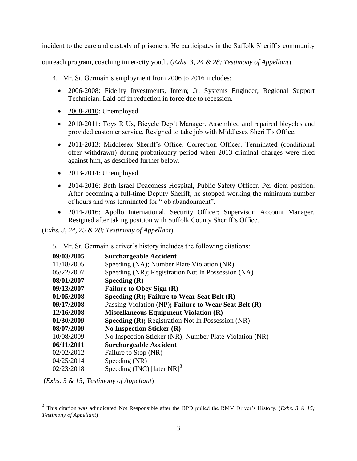incident to the care and custody of prisoners. He participates in the Suffolk Sheriff's community

outreach program, coaching inner-city youth. (*Exhs. 3, 24 & 28; Testimony of Appellant*)

- 4. Mr. St. Germain's employment from 2006 to 2016 includes:
	- 2006-2008: Fidelity Investments, Intern; Jr. Systems Engineer; Regional Support Technician. Laid off in reduction in force due to recession.
	- $\bullet$  2008-2010: Unemployed
	- 2010-2011: Toys R Us, Bicycle Dep't Manager. Assembled and repaired bicycles and provided customer service. Resigned to take job with Middlesex Sheriff's Office.
	- 2011-2013: Middlesex Sheriff's Office, Correction Officer. Terminated (conditional offer withdrawn) during probationary period when 2013 criminal charges were filed against him, as described further below.
	- $\bullet$  2013-2014: Unemployed
	- 2014-2016: Beth Israel Deaconess Hospital, Public Safety Officer. Per diem position. After becoming a full-time Deputy Sheriff, he stopped working the minimum number of hours and was terminated for "job abandonment".
	- 2014-2016: Apollo International, Security Officer; Supervisor; Account Manager. Resigned after taking position with Suffolk County Sheriff's Office.

(*Exhs. 3, 24, 25 & 28; Testimony of Appellant*)

5. Mr. St. Germain's driver's history includes the following citations:

| 09/03/2005 | <b>Surchargeable Accident</b>                            |
|------------|----------------------------------------------------------|
| 11/18/2005 | Speeding (NA); Number Plate Violation (NR)               |
| 05/22/2007 | Speeding (NR); Registration Not In Possession (NA)       |
| 08/01/2007 | Speeding $(R)$                                           |
| 09/13/2007 | <b>Failure to Obey Sign (R)</b>                          |
| 01/05/2008 | Speeding (R); Failure to Wear Seat Belt (R)              |
| 09/17/2008 | Passing Violation (NP); Failure to Wear Seat Belt (R)    |
| 12/16/2008 | <b>Miscellaneous Equipment Violation (R)</b>             |
| 01/30/2009 | <b>Speeding (R);</b> Registration Not In Possession (NR) |
| 08/07/2009 | No Inspection Sticker $(R)$                              |
| 10/08/2009 | No Inspection Sticker (NR); Number Plate Violation (NR)  |
| 06/11/2011 | <b>Surchargeable Accident</b>                            |
| 02/02/2012 | Failure to Stop (NR)                                     |
| 04/25/2014 | Speeding (NR)                                            |
| 02/23/2018 | Speeding (INC) [later $NR$ ] <sup>3</sup>                |
|            |                                                          |

(*Exhs. 3 & 15; Testimony of Appellant*)

<sup>&</sup>lt;sup>3</sup> This citation was adjudicated Not Responsible after the BPD pulled the RMV Driver's History. (*Exhs. 3 & 15; Testimony of Appellant*)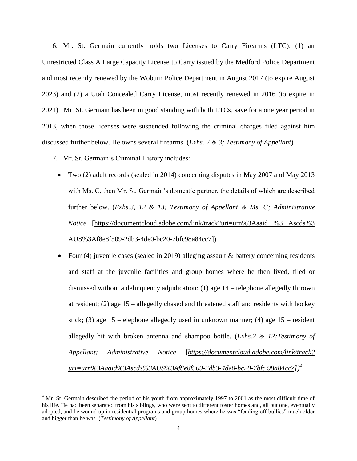6. Mr. St. Germain currently holds two Licenses to Carry Firearms (LTC): (1) an Unrestricted Class A Large Capacity License to Carry issued by the Medford Police Department and most recently renewed by the Woburn Police Department in August 2017 (to expire August 2023) and (2) a Utah Concealed Carry License, most recently renewed in 2016 (to expire in 2021). Mr. St. Germain has been in good standing with both LTCs, save for a one year period in 2013, when those licenses were suspended following the criminal charges filed against him discussed further below. He owns several firearms. (*Exhs. 2 & 3; Testimony of Appellant*)

7. Mr. St. Germain's Criminal History includes:

- Two (2) adult records (sealed in 2014) concerning disputes in May 2007 and May 2013 with Ms. C, then Mr. St. Germain's domestic partner, the details of which are described further below. (*Exhs.3, 12 & 13; Testimony of Appellant & Ms. C; Administrative Notice* [\[https://documentcloud.adobe.com/link/track?uri=urn%3Aaaid %3 Ascds%3](https://documentcloud.adobe.com/link/track?uri=urn%3Aaaid%20%253%20Ascds%253%20AUS%3Af8e8f509-2db3-4de0-bc20-7bfc98a84cc7)  [AUS%3Af8e8f509-2db3-4de0-bc20-7bfc98a84cc7\]](https://documentcloud.adobe.com/link/track?uri=urn%3Aaaid%20%253%20Ascds%253%20AUS%3Af8e8f509-2db3-4de0-bc20-7bfc98a84cc7))
- Four (4) juvenile cases (sealed in 2019) alleging assault & battery concerning residents and staff at the juvenile facilities and group homes where he then lived, filed or dismissed without a delinquency adjudication: (1) age 14 – telephone allegedly thrrown at resident; (2) age 15 – allegedly chased and threatened staff and residents with hockey stick; (3) age 15 –telephone allegedly used in unknown manner; (4) age 15 – resident allegedly hit with broken antenna and shampoo bottle. (*Exhs.2 & 12;Testimony of Appellant; Administrative Notice* [*[https://documentcloud.adobe.com/link/track?](https://documentcloud.adobe.com/link/track?%20uri=urn%3Aaaid%3Ascds%3AUS%3Af8e8f509-2db3-4de0-bc20-7bfc%2098a84cc7)  [uri=urn%3Aaaid%3Ascds%3AUS%3Af8e8f509-2db3-4de0-bc20-7bfc 98a84cc7\]](https://documentcloud.adobe.com/link/track?%20uri=urn%3Aaaid%3Ascds%3AUS%3Af8e8f509-2db3-4de0-bc20-7bfc%2098a84cc7))<sup>4</sup>*

 $<sup>4</sup>$  Mr. St. Germain described the period of his youth from approximately 1997 to 2001 as the most difficult time of</sup> his life. He had been separated from his siblings, who were sent to different foster homes and, all but one, eventually adopted, and he wound up in residential programs and group homes where he was "fending off bullies" much older and bigger than he was. (*Testimony of Appellant*).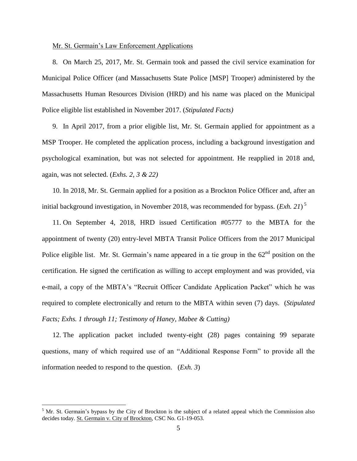#### Mr. St. Germain's Law Enforcement Applications

8. On March 25, 2017, Mr. St. Germain took and passed the civil service examination for Municipal Police Officer (and Massachusetts State Police [MSP] Trooper) administered by the Massachusetts Human Resources Division (HRD) and his name was placed on the Municipal Police eligible list established in November 2017. (*Stipulated Facts)*

9. In April 2017, from a prior eligible list, Mr. St. Germain applied for appointment as a MSP Trooper. He completed the application process, including a background investigation and psychological examination, but was not selected for appointment. He reapplied in 2018 and, again, was not selected. (*Exhs. 2, 3 & 22)*

10. In 2018, Mr. St. Germain applied for a position as a Brockton Police Officer and, after an initial background investigation, in November 2018, was recommended for bypass. (*Exh. 21*) 5

11. On September 4, 2018, HRD issued Certification #05777 to the MBTA for the appointment of twenty (20) entry-level MBTA Transit Police Officers from the 2017 Municipal Police eligible list. Mr. St. Germain's name appeared in a tie group in the  $62<sup>nd</sup>$  position on the certification. He signed the certification as willing to accept employment and was provided, via e-mail, a copy of the MBTA's "Recruit Officer Candidate Application Packet" which he was required to complete electronically and return to the MBTA within seven (7) days. (*Stipulated Facts; Exhs. 1 through 11; Testimony of Haney, Mabee & Cutting)*

12. The application packet included twenty-eight (28) pages containing 99 separate questions, many of which required use of an "Additional Response Form" to provide all the information needed to respond to the question. (*Exh. 3*)

 $<sup>5</sup>$  Mr. St. Germain's bypass by the City of Brockton is the subject of a related appeal which the Commission also</sup> decides today. St. Germain v. City of Brockton, CSC No. G1-19-053.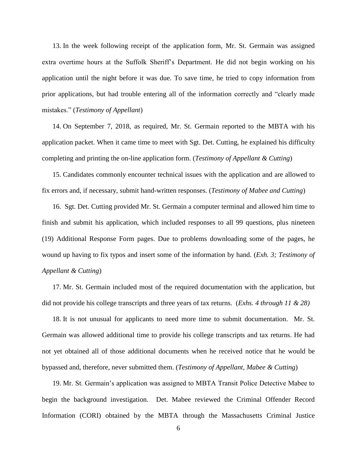13. In the week following receipt of the application form, Mr. St. Germain was assigned extra overtime hours at the Suffolk Sheriff's Department. He did not begin working on his application until the night before it was due. To save time, he tried to copy information from prior applications, but had trouble entering all of the information correctly and "clearly made mistakes." (*Testimony of Appellant*)

14. On September 7, 2018, as required, Mr. St. Germain reported to the MBTA with his application packet. When it came time to meet with Sgt. Det. Cutting, he explained his difficulty completing and printing the on-line application form. (*Testimony of Appellant & Cutting*)

15. Candidates commonly encounter technical issues with the application and are allowed to fix errors and, if necessary, submit hand-written responses. (*Testimony of Mabee and Cutting*)

16. Sgt. Det. Cutting provided Mr. St. Germain a computer terminal and allowed him time to finish and submit his application, which included responses to all 99 questions, plus nineteen (19) Additional Response Form pages. Due to problems downloading some of the pages, he wound up having to fix typos and insert some of the information by hand. (*Exh. 3; Testimony of Appellant & Cutting*)

17. Mr. St. Germain included most of the required documentation with the application, but did not provide his college transcripts and three years of tax returns. (*Exhs. 4 through 11 & 28)*

18. It is not unusual for applicants to need more time to submit documentation. Mr. St. Germain was allowed additional time to provide his college transcripts and tax returns. He had not yet obtained all of those additional documents when he received notice that he would be bypassed and, therefore, never submitted them. (*Testimony of Appellant, Mabee & Cutting*)

19. Mr. St. Germain's application was assigned to MBTA Transit Police Detective Mabee to begin the background investigation. Det. Mabee reviewed the Criminal Offender Record Information (CORI) obtained by the MBTA through the Massachusetts Criminal Justice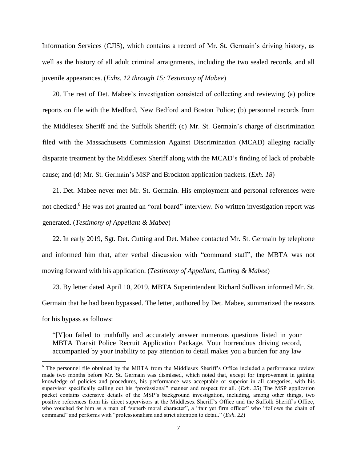Information Services (CJIS), which contains a record of Mr. St. Germain's driving history, as well as the history of all adult criminal arraignments, including the two sealed records, and all juvenile appearances. (*Exhs. 12 through 15; Testimony of Mabee*)

20. The rest of Det. Mabee's investigation consisted of collecting and reviewing (a) police reports on file with the Medford, New Bedford and Boston Police; (b) personnel records from the Middlesex Sheriff and the Suffolk Sheriff; (c) Mr. St. Germain's charge of discrimination filed with the Massachusetts Commission Against Discrimination (MCAD) alleging racially disparate treatment by the Middlesex Sheriff along with the MCAD's finding of lack of probable cause; and (d) Mr. St. Germain's MSP and Brockton application packets. (*Exh. 18*)

21. Det. Mabee never met Mr. St. Germain. His employment and personal references were not checked. *<sup>6</sup>* He was not granted an "oral board" interview. No written investigation report was generated. (*Testimony of Appellant & Mabee*)

22. In early 2019, Sgt. Det. Cutting and Det. Mabee contacted Mr. St. Germain by telephone and informed him that, after verbal discussion with "command staff", the MBTA was not moving forward with his application. (*Testimony of Appellant, Cutting & Mabee*)

23. By letter dated April 10, 2019, MBTA Superintendent Richard Sullivan informed Mr. St. Germain that he had been bypassed. The letter, authored by Det. Mabee, summarized the reasons for his bypass as follows:

"[Y]ou failed to truthfully and accurately answer numerous questions listed in your MBTA Transit Police Recruit Application Package. Your horrendous driving record, accompanied by your inability to pay attention to detail makes you a burden for any law

<sup>&</sup>lt;sup>6</sup> The personnel file obtained by the MBTA from the Middlesex Sheriff's Office included a performance review made two months before Mr. St. Germain was dismissed, which noted that, except for improvement in gaining knowledge of policies and procedures, his performance was acceptable or superior in all categories, with his supervisor specifically calling out his "professional" manner and respect for all. (*Exh. 25*) The MSP application packet contains extensive details of the MSP's background investigation, including, among other things, two positive references from his direct supervisors at the Middlesex Sheriff's Office and the Suffolk Sheriff's Office, who vouched for him as a man of "superb moral character", a "fair yet firm officer" who "follows the chain of command" and performs with "professionalism and strict attention to detail." (*Exh. 22*)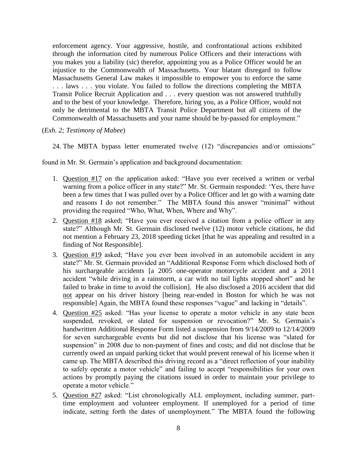enforcement agency. Your aggressive, hostile, and confrontational actions exhibited through the information cited by numerous Police Officers and their interactions with you makes you a liability (sic) therefor, appointing you as a Police Officer would be an injustice to the Commonwealth of Massachusetts. Your blatant disregard to follow Massachusetts General Law makes it impossible to empower you to enforce the same . . . laws . . . you violate. You failed to follow the directions completing the MBTA Transit Police Recruit Application and . . . every question was not answered truthfully and to the best of your knowledge. Therefore, hiring you, as a Police Officer, would not only be detrimental to the MBTA Transit Police Department but all citizens of the Commonwealth of Massachusetts and your name should be by-passed for employment."

(*Exh. 2; Testimony of Mabee*)

24. The MBTA bypass letter enumerated twelve (12) "discrepancies and/or omissions"

found in Mr. St. Germain's application and background documentation:

- 1. Question #17 on the application asked: "Have you ever received a written or verbal warning from a police officer in any state?" Mr. St. Germain responded: 'Yes, there have been a few times that I was pulled over by a Police Officer and let go with a warning date and reasons I do not remember." The MBTA found this answer "minimal" without providing the required "Who, What, When, Where and Why".
- 2. Question #18 asked; "Have you ever received a citation from a police officer in any state?" Although Mr. St. Germain disclosed twelve (12) motor vehicle citations, he did not mention a February 23, 2018 speeding ticket [that he was appealing and resulted in a finding of Not Responsible].
- 3. Question #19 asked; "Have you ever been involved in an automobile accident in any state?" Mr. St. Germain provided an "Additional Response Form which disclosed both of his surchargeable accidents [a 2005 one-operator motorcycle accident and a 2011 accident "while driving in a rainstorm, a car with no tail lights stopped short" and he failed to brake in time to avoid the collision]. He also disclosed a 2016 accident that did not appear on his driver history [being rear-ended in Boston for which he was not responsible] Again, the MBTA found these responses "vague" and lacking in "details".
- 4. Question #25 asked: "Has your license to operate a motor vehicle in any state been suspended, revoked, or slated for suspension or revocation?" Mr. St. Germain's handwritten Additional Response Form listed a suspension from 9/14/2009 to 12/14/2009 for seven surchargeable events but did not disclose that his license was "slated for suspension" in 2008 due to non-payment of fines and costs; and did not disclose that he currently owed an unpaid parking ticket that would prevent renewal of his license when it came up. The MBTA described this driving record as a "direct reflection of your inability to safely operate a motor vehicle" and failing to accept "responsibilities for your own actions by promptly paying the citations issued in order to maintain your privilege to operate a motor vehicle."
- 5. Question #27 asked: "List chronologically ALL employment, including summer, parttime employment and volunteer employment. If unemployed for a period of time indicate, setting forth the dates of unemployment." The MBTA found the following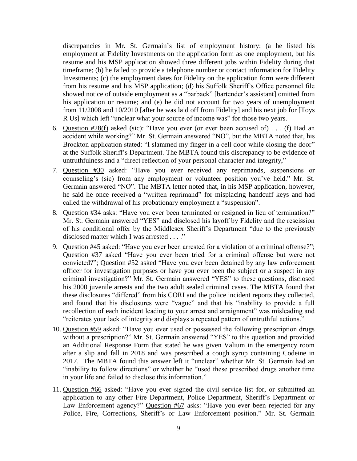discrepancies in Mr. St. Germain's list of employment history: (a he listed his employment at Fidelity Investments on the application form as one employment, but his resume and his MSP application showed three different jobs within Fidelity during that timeframe; (b) he failed to provide a telephone number or contact information for Fidelity Investments; (c) the employment dates for Fidelity on the application form were different from his resume and his MSP application; (d) his Suffolk Sheriff's Office personnel file showed notice of outside employment as a "barback" [bartender's assistant] omitted from his application or resume; and (e) he did not account for two years of unemployment from 11/2008 and 10/2010 [after he was laid off from Fidelity] and his next job for [Toys R Us] which left "unclear what your source of income was" for those two years.

- 6. Question #28(f) asked (sic): "Have you ever (or ever been accused of) . . . (f) Had an accident while working?" Mr. St. Germain answered "NO", but the MBTA noted that, his Brockton application stated: "I slammed my finger in a cell door while closing the door" at the Suffolk Sheriff's Department. The MBTA found this discrepancy to be evidence of untruthfulness and a "direct reflection of your personal character and integrity,"
- 7. Question #30 asked: "Have you ever received any reprimands, suspensions or counseling's (sic) from any employment or volunteer position you've held." Mr. St. Germain answered "NO". The MBTA letter noted that, in his MSP application, however, he said he once received a "written reprimand" for misplacing handcuff keys and had called the withdrawal of his probationary employment a "suspension".
- 8. Question #34 asks: "Have you ever been terminated or resigned in lieu of termination?" Mr. St. Germain answered "YES" and disclosed his layoff by Fidelity and the rescission of his conditional offer by the Middlesex Sheriff's Department "due to the previously disclosed matter which I was arrested . . . ."
- 9. Question #45 asked: "Have you ever been arrested for a violation of a criminal offense?"; Question #37 asked "Have you ever been tried for a criminal offense but were not convicted?"; Question #52 asked "Have you ever been detained by any law enforcement officer for investigation purposes or have you ever been the subject or a suspect in any criminal investigation?" Mr. St. Germain answered "YES" to these questions, disclosed his 2000 juvenile arrests and the two adult sealed criminal cases. The MBTA found that these disclosures "differed" from his CORI and the police incident reports they collected, and found that his disclosures were "vague" and that his "inability to provide a full recollection of each incident leading to your arrest and arraignment" was misleading and "reiterates your lack of integrity and displays a repeated pattern of untruthful actions."
- 10. Question #59 asked: "Have you ever used or possessed the following prescription drugs without a prescription?" Mr. St. Germain answered "YES" to this question and provided an Additional Response Form that stated he was given Valium in the emergency room after a slip and fall in 2018 and was prescribed a cough syrup containing Codeine in 2017. The MBTA found this answer left it "unclear" whether Mr. St. Germain had an "inability to follow directions" or whether he "used these prescribed drugs another time in your life and failed to disclose this information."
- 11. Question #66 asked: "Have you ever signed the civil service list for, or submitted an application to any other Fire Department, Police Department, Sheriff's Department or Law Enforcement agency?" Question #67 asks: "Have you ever been rejected for any Police, Fire, Corrections, Sheriff's or Law Enforcement position." Mr. St. Germain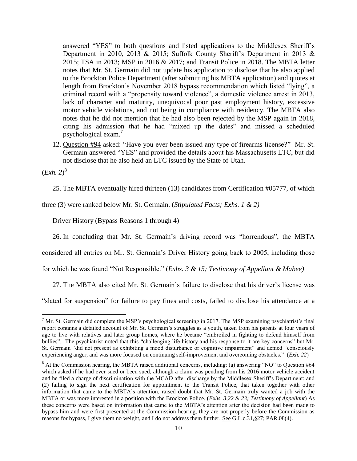answered "YES" to both questions and listed applications to the Middlesex Sheriff's Department in 2010, 2013 & 2015; Suffolk County Sheriff's Department in 2013 & 2015; TSA in 2013; MSP in 2016 & 2017; and Transit Police in 2018. The MBTA letter notes that Mr. St. Germain did not update his application to disclose that he also applied to the Brockton Police Department (after submitting his MBTA application) and quotes at length from Brockton's November 2018 bypass recommendation which listed "lying", a criminal record with a "propensity toward violence", a domestic violence arrest in 2013, lack of character and maturity, unequivocal poor past employment history, excessive motor vehicle violations, and not being in compliance with residency. The MBTA also notes that he did not mention that he had also been rejected by the MSP again in 2018, citing his admission that he had "mixed up the dates" and missed a scheduled psychological exam.<sup>7</sup>

12. Question #94 asked: "Have you ever been issued any type of firearms license?" Mr. St. Germain answered "YES" and provided the details about his Massachusetts LTC, but did not disclose that he also held an LTC issued by the State of Utah.

(*Exh. 2*) 8

 $\overline{a}$ 

25. The MBTA eventually hired thirteen (13) candidates from Certification #05777, of which

three (3) were ranked below Mr. St. Germain. (*Stipulated Facts; Exhs. 1 & 2)*

Driver History (Bypass Reasons 1 through 4)

26. In concluding that Mr. St. Germain's driving record was "horrendous", the MBTA

considered all entries on Mr. St. Germain's Driver History going back to 2005, including those

for which he was found "Not Responsible." (*Exhs. 3 & 15; Testimony of Appellant & Mabee)*

27. The MBTA also cited Mr. St. Germain's failure to disclose that his driver's license was

"slated for suspension" for failure to pay fines and costs, failed to disclose his attendance at a

 $7$  Mr. St. Germain did complete the MSP's psychological screening in 2017. The MSP examining psychiatrist's final report contains a detailed account of Mr. St. Germain's struggles as a youth, taken from his parents at four years of age to live with relatives and later group homes, where he became "embroiled in fighting to defend himself from bullies". The psychiatrist noted that this "challenging life history and his response to it are key concerns" but Mr. St. Germain "did not present as exhibiting a mood disturbance or cognitive impairment" and denied "consciously experiencing anger, and was more focused on continuing self-improvement and overcoming obstacles." (*Exh. 22*)

<sup>8</sup> At the Commission hearing, the MBTA raised additional concerns, including: (a) answering "NO" to Question #64 which asked if he had ever sued or been sued, although a claim was pending from his 2016 motor vehicle accident and he filed a charge of discrimination with the MCAD after discharge by the Middlesex Sheriff's Department; and (2) failing to sign the next certification for appointment to the Transit Police, that taken together with other information that came to the MBTA's attention, raised doubt that Mr. St. Germain truly wanted a job with the MBTA or was more interested in a position with the Brockton Police. (*Exhs. 3,22 & 23; Testimony of Appellant*) As these concerns were based on information that came to the MBTA's attention after the decision had been made to bypass him and were first presented at the Commission hearing, they are not properly before the Commission as reasons for bypass, I give them no weight, and I do not address them further. See G.L.c.31,§27; PAR.08(4).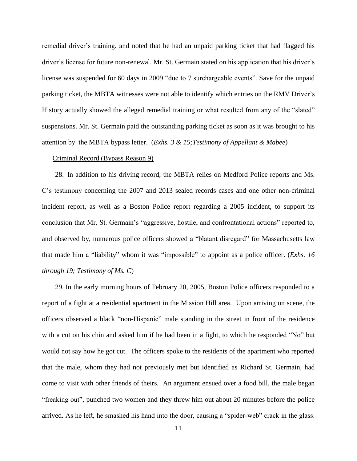remedial driver's training, and noted that he had an unpaid parking ticket that had flagged his driver's license for future non-renewal. Mr. St. Germain stated on his application that his driver's license was suspended for 60 days in 2009 "due to 7 surchargeable events". Save for the unpaid parking ticket, the MBTA witnesses were not able to identify which entries on the RMV Driver's History actually showed the alleged remedial training or what resulted from any of the "slated" suspensions. Mr. St. Germain paid the outstanding parking ticket as soon as it was brought to his attention by the MBTA bypass letter. (*Exhs. 3 & 15;Testimony of Appellant & Mabee*)

## Criminal Record (Bypass Reason 9)

28. In addition to his driving record, the MBTA relies on Medford Police reports and Ms. C's testimony concerning the 2007 and 2013 sealed records cases and one other non-criminal incident report, as well as a Boston Police report regarding a 2005 incident, to support its conclusion that Mr. St. Germain's "aggressive, hostile, and confrontational actions" reported to, and observed by, numerous police officers showed a "blatant disregard" for Massachusetts law that made him a "liability" whom it was "impossible" to appoint as a police officer. (*Exhs. 16 through 19; Testimony of Ms. C*)

29. In the early morning hours of February 20, 2005, Boston Police officers responded to a report of a fight at a residential apartment in the Mission Hill area. Upon arriving on scene, the officers observed a black "non-Hispanic" male standing in the street in front of the residence with a cut on his chin and asked him if he had been in a fight, to which he responded "No" but would not say how he got cut. The officers spoke to the residents of the apartment who reported that the male, whom they had not previously met but identified as Richard St. Germain, had come to visit with other friends of theirs. An argument ensued over a food bill, the male began "freaking out", punched two women and they threw him out about 20 minutes before the police arrived. As he left, he smashed his hand into the door, causing a "spider-web" crack in the glass.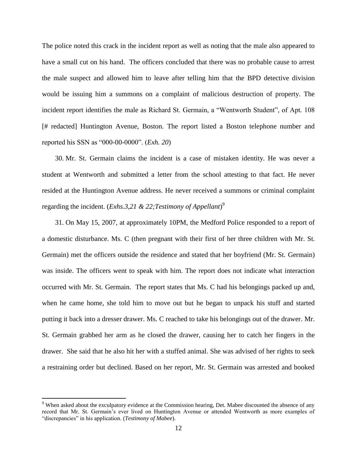The police noted this crack in the incident report as well as noting that the male also appeared to have a small cut on his hand. The officers concluded that there was no probable cause to arrest the male suspect and allowed him to leave after telling him that the BPD detective division would be issuing him a summons on a complaint of malicious destruction of property. The incident report identifies the male as Richard St. Germain, a "Wentworth Student", of Apt. 108 [# redacted] Huntington Avenue, Boston. The report listed a Boston telephone number and reported his SSN as "000-00-0000". (*Exh. 20*)

30. Mr. St. Germain claims the incident is a case of mistaken identity. He was never a student at Wentworth and submitted a letter from the school attesting to that fact. He never resided at the Huntington Avenue address. He never received a summons or criminal complaint regarding the incident. (*Exhs.3,21 & 22;Testimony of Appellant*) 9

31. On May 15, 2007, at approximately 10PM, the Medford Police responded to a report of a domestic disturbance. Ms. C (then pregnant with their first of her three children with Mr. St. Germain) met the officers outside the residence and stated that her boyfriend (Mr. St. Germain) was inside. The officers went to speak with him. The report does not indicate what interaction occurred with Mr. St. Germain. The report states that Ms. C had his belongings packed up and, when he came home, she told him to move out but he began to unpack his stuff and started putting it back into a dresser drawer. Ms. C reached to take his belongings out of the drawer. Mr. St. Germain grabbed her arm as he closed the drawer, causing her to catch her fingers in the drawer. She said that he also hit her with a stuffed animal. She was advised of her rights to seek a restraining order but declined. Based on her report, Mr. St. Germain was arrested and booked

 $9$  When asked about the exculpatory evidence at the Commission hearing, Det. Mabee discounted the absence of any record that Mr. St. Germain's ever lived on Huntington Avenue or attended Wentworth as more examples of "discrepancies" in his application. (*Testimony of Mabee*).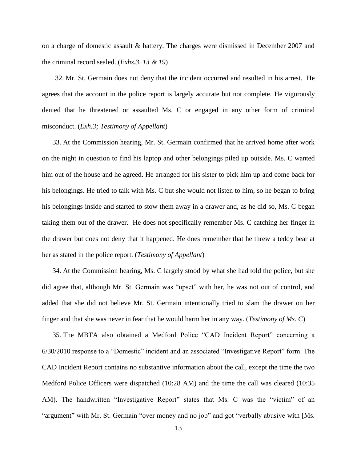on a charge of domestic assault & battery. The charges were dismissed in December 2007 and the criminal record sealed. (*Exhs.3, 13 & 19*)

32. Mr. St. Germain does not deny that the incident occurred and resulted in his arrest. He agrees that the account in the police report is largely accurate but not complete. He vigorously denied that he threatened or assaulted Ms. C or engaged in any other form of criminal misconduct. (*Exh.3; Testimony of Appellant*)

33. At the Commission hearing, Mr. St. Germain confirmed that he arrived home after work on the night in question to find his laptop and other belongings piled up outside. Ms. C wanted him out of the house and he agreed. He arranged for his sister to pick him up and come back for his belongings. He tried to talk with Ms. C but she would not listen to him, so he began to bring his belongings inside and started to stow them away in a drawer and, as he did so, Ms. C began taking them out of the drawer. He does not specifically remember Ms. C catching her finger in the drawer but does not deny that it happened. He does remember that he threw a teddy bear at her as stated in the police report. (*Testimony of Appellant*)

34. At the Commission hearing, Ms. C largely stood by what she had told the police, but she did agree that, although Mr. St. Germain was "upset" with her, he was not out of control, and added that she did not believe Mr. St. Germain intentionally tried to slam the drawer on her finger and that she was never in fear that he would harm her in any way. (*Testimony of Ms. C*)

35. The MBTA also obtained a Medford Police "CAD Incident Report" concerning a 6/30/2010 response to a "Domestic" incident and an associated "Investigative Report" form. The CAD Incident Report contains no substantive information about the call, except the time the two Medford Police Officers were dispatched (10:28 AM) and the time the call was cleared (10:35 AM). The handwritten "Investigative Report" states that Ms. C was the "victim" of an "argument" with Mr. St. Germain "over money and no job" and got "verbally abusive with [Ms.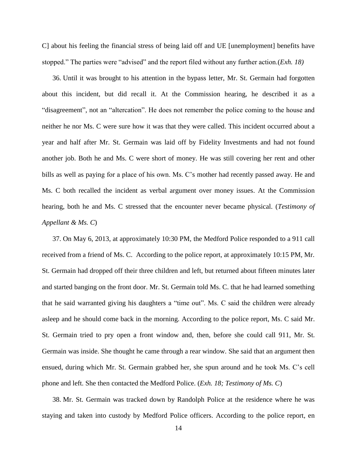C] about his feeling the financial stress of being laid off and UE [unemployment] benefits have stopped." The parties were "advised" and the report filed without any further action.(*Exh. 18)*

36. Until it was brought to his attention in the bypass letter, Mr. St. Germain had forgotten about this incident, but did recall it. At the Commission hearing, he described it as a "disagreement", not an "altercation". He does not remember the police coming to the house and neither he nor Ms. C were sure how it was that they were called. This incident occurred about a year and half after Mr. St. Germain was laid off by Fidelity Investments and had not found another job. Both he and Ms. C were short of money. He was still covering her rent and other bills as well as paying for a place of his own. Ms. C's mother had recently passed away. He and Ms. C both recalled the incident as verbal argument over money issues. At the Commission hearing, both he and Ms. C stressed that the encounter never became physical. (*Testimony of Appellant & Ms. C*)

37. On May 6, 2013, at approximately 10:30 PM, the Medford Police responded to a 911 call received from a friend of Ms. C. According to the police report, at approximately 10:15 PM, Mr. St. Germain had dropped off their three children and left, but returned about fifteen minutes later and started banging on the front door. Mr. St. Germain told Ms. C. that he had learned something that he said warranted giving his daughters a "time out". Ms. C said the children were already asleep and he should come back in the morning. According to the police report, Ms. C said Mr. St. Germain tried to pry open a front window and, then, before she could call 911, Mr. St. Germain was inside. She thought he came through a rear window. She said that an argument then ensued, during which Mr. St. Germain grabbed her, she spun around and he took Ms. C's cell phone and left. She then contacted the Medford Police. (*Exh. 18; Testimony of Ms. C*)

38. Mr. St. Germain was tracked down by Randolph Police at the residence where he was staying and taken into custody by Medford Police officers. According to the police report, en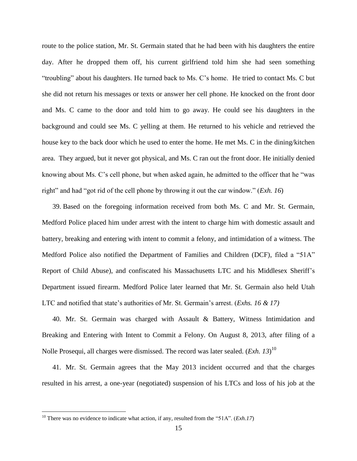route to the police station, Mr. St. Germain stated that he had been with his daughters the entire day. After he dropped them off, his current girlfriend told him she had seen something "troubling" about his daughters. He turned back to Ms. C's home. He tried to contact Ms. C but she did not return his messages or texts or answer her cell phone. He knocked on the front door and Ms. C came to the door and told him to go away. He could see his daughters in the background and could see Ms. C yelling at them. He returned to his vehicle and retrieved the house key to the back door which he used to enter the home. He met Ms. C in the dining/kitchen area. They argued, but it never got physical, and Ms. C ran out the front door. He initially denied knowing about Ms. C's cell phone, but when asked again, he admitted to the officer that he "was right" and had "got rid of the cell phone by throwing it out the car window." (*Exh. 16*)

39. Based on the foregoing information received from both Ms. C and Mr. St. Germain, Medford Police placed him under arrest with the intent to charge him with domestic assault and battery, breaking and entering with intent to commit a felony, and intimidation of a witness. The Medford Police also notified the Department of Families and Children (DCF), filed a "51A" Report of Child Abuse), and confiscated his Massachusetts LTC and his Middlesex Sheriff's Department issued firearm. Medford Police later learned that Mr. St. Germain also held Utah LTC and notified that state's authorities of Mr. St. Germain's arrest. (*Exhs. 16 & 17)*

40. Mr. St. Germain was charged with Assault & Battery, Witness Intimidation and Breaking and Entering with Intent to Commit a Felony. On August 8, 2013, after filing of a Nolle Prosequi, all charges were dismissed. The record was later sealed. (*Exh. 13*) 10

41. Mr. St. Germain agrees that the May 2013 incident occurred and that the charges resulted in his arrest, a one-year (negotiated) suspension of his LTCs and loss of his job at the

<sup>&</sup>lt;sup>10</sup> There was no evidence to indicate what action, if any, resulted from the "51A". (*Exh.17*)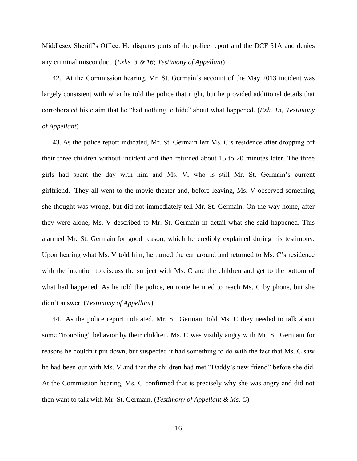Middlesex Sheriff's Office. He disputes parts of the police report and the DCF 51A and denies any criminal misconduct. (*Exhs. 3 & 16; Testimony of Appellant*)

42. At the Commission hearing, Mr. St. Germain's account of the May 2013 incident was largely consistent with what he told the police that night, but he provided additional details that corroborated his claim that he "had nothing to hide" about what happened. (*Exh. 13; Testimony of Appellant*)

43. As the police report indicated, Mr. St. Germain left Ms. C's residence after dropping off their three children without incident and then returned about 15 to 20 minutes later. The three girls had spent the day with him and Ms. V, who is still Mr. St. Germain's current girlfriend. They all went to the movie theater and, before leaving, Ms. V observed something she thought was wrong, but did not immediately tell Mr. St. Germain. On the way home, after they were alone, Ms. V described to Mr. St. Germain in detail what she said happened. This alarmed Mr. St. Germain for good reason, which he credibly explained during his testimony. Upon hearing what Ms. V told him, he turned the car around and returned to Ms. C's residence with the intention to discuss the subject with Ms. C and the children and get to the bottom of what had happened. As he told the police, en route he tried to reach Ms. C by phone, but she didn't answer. (*Testimony of Appellant*)

44. As the police report indicated, Mr. St. Germain told Ms. C they needed to talk about some "troubling" behavior by their children. Ms. C was visibly angry with Mr. St. Germain for reasons he couldn't pin down, but suspected it had something to do with the fact that Ms. C saw he had been out with Ms. V and that the children had met "Daddy's new friend" before she did. At the Commission hearing, Ms. C confirmed that is precisely why she was angry and did not then want to talk with Mr. St. Germain. (*Testimony of Appellant & Ms. C*)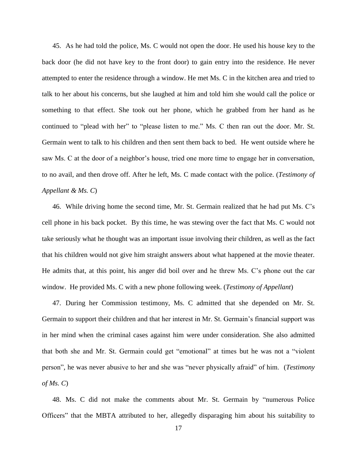45. As he had told the police, Ms. C would not open the door. He used his house key to the back door (he did not have key to the front door) to gain entry into the residence. He never attempted to enter the residence through a window. He met Ms. C in the kitchen area and tried to talk to her about his concerns, but she laughed at him and told him she would call the police or something to that effect. She took out her phone, which he grabbed from her hand as he continued to "plead with her" to "please listen to me." Ms. C then ran out the door. Mr. St. Germain went to talk to his children and then sent them back to bed. He went outside where he saw Ms. C at the door of a neighbor's house, tried one more time to engage her in conversation, to no avail, and then drove off. After he left, Ms. C made contact with the police. (*Testimony of Appellant & Ms. C*)

46. While driving home the second time, Mr. St. Germain realized that he had put Ms. C's cell phone in his back pocket. By this time, he was stewing over the fact that Ms. C would not take seriously what he thought was an important issue involving their children, as well as the fact that his children would not give him straight answers about what happened at the movie theater. He admits that, at this point, his anger did boil over and he threw Ms. C's phone out the car window. He provided Ms. C with a new phone following week. (*Testimony of Appellant*)

47. During her Commission testimony, Ms. C admitted that she depended on Mr. St. Germain to support their children and that her interest in Mr. St. Germain's financial support was in her mind when the criminal cases against him were under consideration. She also admitted that both she and Mr. St. Germain could get "emotional" at times but he was not a "violent person", he was never abusive to her and she was "never physically afraid" of him. (*Testimony of Ms. C*)

48. Ms. C did not make the comments about Mr. St. Germain by "numerous Police Officers" that the MBTA attributed to her, allegedly disparaging him about his suitability to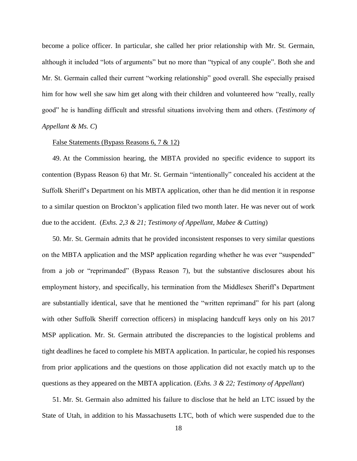become a police officer. In particular, she called her prior relationship with Mr. St. Germain, although it included "lots of arguments" but no more than "typical of any couple". Both she and Mr. St. Germain called their current "working relationship" good overall. She especially praised him for how well she saw him get along with their children and volunteered how "really, really good" he is handling difficult and stressful situations involving them and others. (*Testimony of Appellant & Ms. C*)

### False Statements (Bypass Reasons 6, 7 & 12)

49. At the Commission hearing, the MBTA provided no specific evidence to support its contention (Bypass Reason 6) that Mr. St. Germain "intentionally" concealed his accident at the Suffolk Sheriff's Department on his MBTA application, other than he did mention it in response to a similar question on Brockton's application filed two month later. He was never out of work due to the accident. (*Exhs. 2,3 & 21; Testimony of Appellant, Mabee & Cutting*)

50. Mr. St. Germain admits that he provided inconsistent responses to very similar questions on the MBTA application and the MSP application regarding whether he was ever "suspended" from a job or "reprimanded" (Bypass Reason 7), but the substantive disclosures about his employment history, and specifically, his termination from the Middlesex Sheriff's Department are substantially identical, save that he mentioned the "written reprimand" for his part (along with other Suffolk Sheriff correction officers) in misplacing handcuff keys only on his 2017 MSP application. Mr. St. Germain attributed the discrepancies to the logistical problems and tight deadlines he faced to complete his MBTA application. In particular, he copied his responses from prior applications and the questions on those application did not exactly match up to the questions as they appeared on the MBTA application. (*Exhs. 3 & 22; Testimony of Appellant*)

51. Mr. St. Germain also admitted his failure to disclose that he held an LTC issued by the State of Utah, in addition to his Massachusetts LTC, both of which were suspended due to the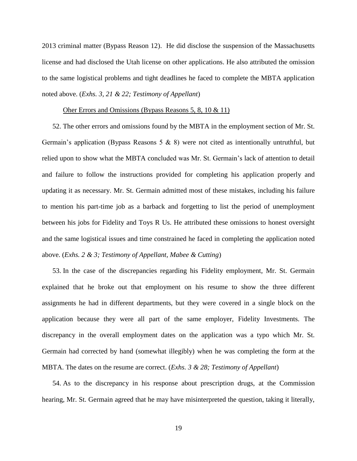2013 criminal matter (Bypass Reason 12). He did disclose the suspension of the Massachusetts license and had disclosed the Utah license on other applications. He also attributed the omission to the same logistical problems and tight deadlines he faced to complete the MBTA application noted above. (*Exhs. 3, 21 & 22; Testimony of Appellant*)

#### Oher Errors and Omissions (Bypass Reasons 5, 8, 10 & 11)

52. The other errors and omissions found by the MBTA in the employment section of Mr. St. Germain's application (Bypass Reasons 5 & 8) were not cited as intentionally untruthful, but relied upon to show what the MBTA concluded was Mr. St. Germain's lack of attention to detail and failure to follow the instructions provided for completing his application properly and updating it as necessary. Mr. St. Germain admitted most of these mistakes, including his failure to mention his part-time job as a barback and forgetting to list the period of unemployment between his jobs for Fidelity and Toys R Us. He attributed these omissions to honest oversight and the same logistical issues and time constrained he faced in completing the application noted above. (*Exhs. 2 & 3; Testimony of Appellant, Mabee & Cutting*)

53. In the case of the discrepancies regarding his Fidelity employment, Mr. St. Germain explained that he broke out that employment on his resume to show the three different assignments he had in different departments, but they were covered in a single block on the application because they were all part of the same employer, Fidelity Investments. The discrepancy in the overall employment dates on the application was a typo which Mr. St. Germain had corrected by hand (somewhat illegibly) when he was completing the form at the MBTA. The dates on the resume are correct. (*Exhs. 3 & 28; Testimony of Appellant*)

54. As to the discrepancy in his response about prescription drugs, at the Commission hearing, Mr. St. Germain agreed that he may have misinterpreted the question, taking it literally,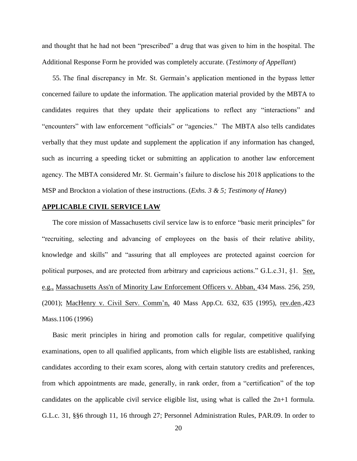and thought that he had not been "prescribed" a drug that was given to him in the hospital. The Additional Response Form he provided was completely accurate. (*Testimony of Appellant*)

55. The final discrepancy in Mr. St. Germain's application mentioned in the bypass letter concerned failure to update the information. The application material provided by the MBTA to candidates requires that they update their applications to reflect any "interactions" and "encounters" with law enforcement "officials" or "agencies." The MBTA also tells candidates verbally that they must update and supplement the application if any information has changed, such as incurring a speeding ticket or submitting an application to another law enforcement agency. The MBTA considered Mr. St. Germain's failure to disclose his 2018 applications to the MSP and Brockton a violation of these instructions. (*Exhs. 3 & 5; Testimony of Haney*)

#### **APPLICABLE CIVIL SERVICE LAW**

The core mission of Massachusetts civil service law is to enforce "basic merit principles" for "recruiting, selecting and advancing of employees on the basis of their relative ability, knowledge and skills" and "assuring that all employees are protected against coercion for political purposes, and are protected from arbitrary and capricious actions." G.L.c.31, §1. See, e.g., [Massachusetts Ass'n of Minority Law Enforcement Officers v. Abban,](http://web2.westlaw.com/find/default.wl?mt=Massachusetts&db=578&rs=WLW15.04&tc=-1&rp=%2ffind%2fdefault.wl&findtype=Y&ordoc=2029136022&serialnum=2001441097&vr=2.0&fn=_top&sv=Split&tf=-1&pbc=70F732C1&utid=1) 434 Mass. 256, 259, [\(2001\);](http://web2.westlaw.com/find/default.wl?mt=Massachusetts&db=578&rs=WLW15.04&tc=-1&rp=%2ffind%2fdefault.wl&findtype=Y&ordoc=2029136022&serialnum=2001441097&vr=2.0&fn=_top&sv=Split&tf=-1&pbc=70F732C1&utid=1) MacHenry v. Civil Serv. Comm'n, 40 Mass App.Ct. 632, 635 (1995), rev.den.,423 Mass.1106 (1996)

Basic merit principles in hiring and promotion calls for regular, competitive qualifying examinations, open to all qualified applicants, from which eligible lists are established, ranking candidates according to their exam scores, along with certain statutory credits and preferences, from which appointments are made, generally, in rank order, from a "certification" of the top candidates on the applicable civil service eligible list, using what is called the 2n+1 formula. G.L.c. 31, §§6 through 11, 16 through 27; Personnel Administration Rules, PAR.09. In order to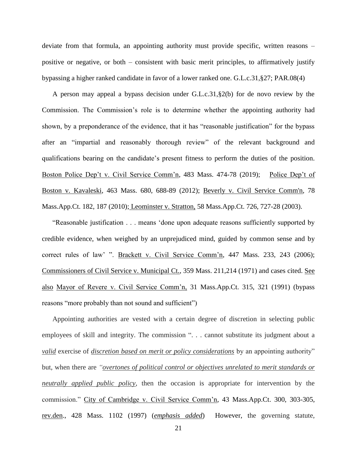deviate from that formula, an appointing authority must provide specific, written reasons – positive or negative, or both – consistent with basic merit principles, to affirmatively justify bypassing a higher ranked candidate in favor of a lower ranked one. G.L.c.31,§27; PAR.08(4)

A person may appeal a bypass decision under G.L.c.31,§2(b) for de novo review by the Commission. The Commission's role is to determine whether the appointing authority had shown, by a preponderance of the evidence, that it has "reasonable justification" for the bypass after an "impartial and reasonably thorough review" of the relevant background and qualifications bearing on the candidate's present fitness to perform the duties of the position. Boston Police Dep't v. Civil Service Comm'n, 483 Mass. 474-78 (2019); Police Dep't of Boston v. Kavaleski, 463 Mass. 680, 688-89 (2012); [Beverly v. Civil Service Comm'n, 78](http://web2.westlaw.com/find/default.wl?mt=Massachusetts&db=578&rs=WLW15.04&tc=-1&rp=%2ffind%2fdefault.wl&findtype=Y&ordoc=2029136022&serialnum=2023501172&vr=2.0&fn=_top&sv=Split&tf=-1&pbc=70F732C1&utid=1)  [Mass.App.Ct. 182, 187 \(2010\);](http://web2.westlaw.com/find/default.wl?mt=Massachusetts&db=578&rs=WLW15.04&tc=-1&rp=%2ffind%2fdefault.wl&findtype=Y&ordoc=2029136022&serialnum=2023501172&vr=2.0&fn=_top&sv=Split&tf=-1&pbc=70F732C1&utid=1) Leominster v. Stratton, 58 Mass.App.Ct. 726, 727-28 (2003).

"Reasonable justification . . . means 'done upon adequate reasons sufficiently supported by credible evidence, when weighed by an unprejudiced mind, guided by common sense and by correct rules of law' ". Brackett v. Civil Service Comm'n, 447 Mass. 233, 243 (2006); Commissioners of Civil Service v. Municipal Ct., 359 Mass. 211,214 (1971) and cases cited. See also Mayor of Revere v. Civil Service Comm'n, 31 Mass.App.Ct. 315, 321 (1991) (bypass reasons "more probably than not sound and sufficient")

Appointing authorities are vested with a certain degree of discretion in selecting public employees of skill and integrity. The commission ". . . cannot substitute its judgment about a *valid* exercise of *discretion based on merit or policy considerations* by an appointing authority" but, when there are *"overtones of political control or objectives unrelated to merit standards or neutrally applied public policy*, then the occasion is appropriate for intervention by the commission." City of Cambridge v. Civil Service Comm'n, 43 Mass.App.Ct. 300, 303-305, rev.den., 428 Mass. 1102 (1997) (*emphasis added*) However, the governing statute,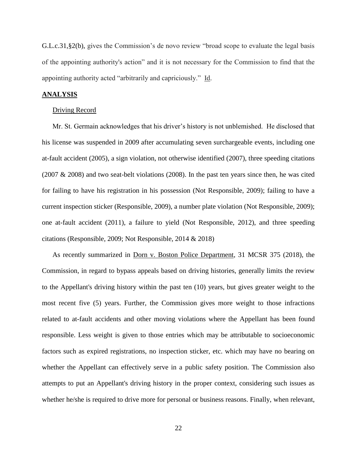[G.L.c.31,§2\(b\),](https://1.next.westlaw.com/Link/Document/FullText?findType=L&pubNum=1000042&cite=MAST31S2&originatingDoc=Ib21af0ded3bd11d99439b076ef9ec4de&refType=LQ&originationContext=document&transitionType=DocumentItem&contextData=(sc.History*oc.UserEnteredCitation)) gives the Commission's de novo review "broad scope to evaluate the legal basis of the appointing authority's action" and it is not necessary for the Commission to find that the appointing authority acted "arbitrarily and capriciously." Id.

#### **ANALYSIS**

#### Driving Record

Mr. St. Germain acknowledges that his driver's history is not unblemished. He disclosed that his license was suspended in 2009 after accumulating seven surchargeable events, including one at-fault accident (2005), a sign violation, not otherwise identified (2007), three speeding citations (2007 & 2008) and two seat-belt violations (2008). In the past ten years since then, he was cited for failing to have his registration in his possession (Not Responsible, 2009); failing to have a current inspection sticker (Responsible, 2009), a number plate violation (Not Responsible, 2009); one at-fault accident (2011), a failure to yield (Not Responsible, 2012), and three speeding citations (Responsible, 2009; Not Responsible, 2014 & 2018)

As recently summarized in Dorn v. Boston Police Department, 31 MCSR 375 (2018), the Commission, in regard to bypass appeals based on driving histories, generally limits the review to the Appellant's driving history within the past ten (10) years, but gives greater weight to the most recent five (5) years. Further, the Commission gives more weight to those infractions related to at-fault accidents and other moving violations where the Appellant has been found responsible. Less weight is given to those entries which may be attributable to socioeconomic factors such as expired registrations, no inspection sticker, etc. which may have no bearing on whether the Appellant can effectively serve in a public safety position. The Commission also attempts to put an Appellant's driving history in the proper context, considering such issues as whether he/she is required to drive more for personal or business reasons. Finally, when relevant,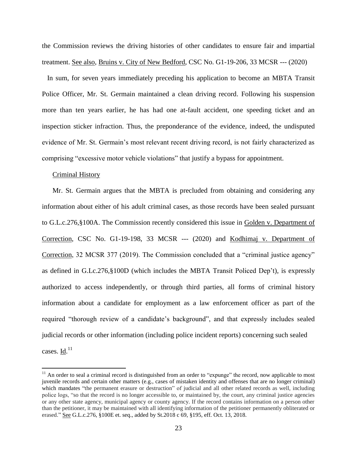the Commission reviews the driving histories of other candidates to ensure fair and impartial treatment. See also, Bruins v. City of New Bedford, CSC No. G1-19-206, 33 MCSR --- (2020)

In sum, for seven years immediately preceding his application to become an MBTA Transit Police Officer, Mr. St. Germain maintained a clean driving record. Following his suspension more than ten years earlier, he has had one at-fault accident, one speeding ticket and an inspection sticker infraction. Thus, the preponderance of the evidence, indeed, the undisputed evidence of Mr. St. Germain's most relevant recent driving record, is not fairly characterized as comprising "excessive motor vehicle violations" that justify a bypass for appointment.

#### Criminal History

 $\overline{a}$ 

Mr. St. Germain argues that the MBTA is precluded from obtaining and considering any information about either of his adult criminal cases, as those records have been sealed pursuant to G.L.c.276,§100A. The Commission recently considered this issue in Golden v. Department of Correction, CSC No. G1-19-198, 33 MCSR --- (2020) and Kodhimaj v. Department of Correction, 32 MCSR 377 (2019). The Commission concluded that a "criminal justice agency" as defined in G.Lc.276,§100D (which includes the MBTA Transit Policed Dep't), is expressly authorized to access independently, or through third parties, all forms of criminal history information about a candidate for employment as a law enforcement officer as part of the required "thorough review of a candidate's background", and that expressly includes sealed judicial records or other information (including police incident reports) concerning such sealed cases.  $\underline{\mathrm{Id}}$ .<sup>11</sup>

 $11$  An order to seal a criminal record is distinguished from an order to "expunge" the record, now applicable to most juvenile records and certain other matters (e.g., cases of mistaken identity and offenses that are no longer criminal) which mandates "the permanent erasure or destruction" of judicial and all other related records as well, including police logs, "so that the record is no longer accessible to, or maintained by, the court, any criminal justice agencies or any other state agency, municipal agency or county agency. If the record contains information on a person other than the petitioner, it may be maintained with all identifying information of the petitioner permanently obliterated or erased." See G.L.c.276, §100E et. seq., added by St.2018 c 69, §195, [eff. Oct. 13, 2018.](https://1.next.westlaw.com/Link/Document/FullText?findType=l&pubNum=1077005&cite=UUID(I0C1F990044-2B11E8994DF-A89B0D54A4C)&originatingDoc=NEC8132F04EFE11E8BA478209A3F344DF&refType=SL&originationContext=document&transitionType=DocumentItem&contextData=(sc.Category))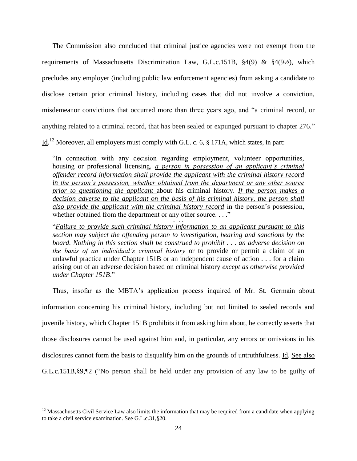The Commission also concluded that criminal justice agencies were not exempt from the requirements of Massachusetts Discrimination Law, G.L.c.151B, §4(9) & §4(9½), which precludes any employer (including public law enforcement agencies) from asking a candidate to disclose certain prior criminal history, including cases that did not involve a conviction, misdemeanor convictions that occurred more than three years ago, and "a criminal record, or anything related to a criminal record, that has been sealed or expunged pursuant to chapter 276."

 $\underline{Id}$ .<sup>12</sup> Moreover, all employers must comply with G.L. c. 6, § 171A, which states, in part:

"In connection with any decision regarding employment, volunteer opportunities, housing or professional licensing, *a person in possession of an applicant's criminal offender record information shall provide the applicant with the criminal history record in the person's possession, whether obtained from the department or any other source prior to questioning the applicant* about his criminal history. *If the person makes a decision adverse to the applicant on the basis of his criminal history, the person shall also provide the applicant with the criminal history record* in the person's possession, whether obtained from the department or any other source. . . ."  $\cdot \cdot \cdot$ 

"*Failure to provide such criminal history information to an applicant pursuant to this section may subject the offending person to investigation, hearing and sanctions by the board. Nothing in this section shall be construed to prohibit* . . . *an adverse decision on the basis of an individual's criminal history* or to provide or permit a claim of an unlawful practice under Chapter 151B or an independent cause of action . . . for a claim arising out of an adverse decision based on criminal history *except as otherwise provided under Chapter 151B*."

Thus, insofar as the MBTA's application process inquired of Mr. St. Germain about information concerning his criminal history, including but not limited to sealed records and juvenile history, which Chapter 151B prohibits it from asking him about, he correctly asserts that those disclosures cannot be used against him and, in particular, any errors or omissions in his disclosures cannot form the basis to disqualify him on the grounds of untruthfulness. Id. See also G.L.c.151B,§9,¶2 ("No person shall be held under any provision of any law to be guilty of

 $12$  Massachusetts Civil Service Law also limits the information that may be required from a candidate when applying to take a civil service examination. See G.L.c.31,§20.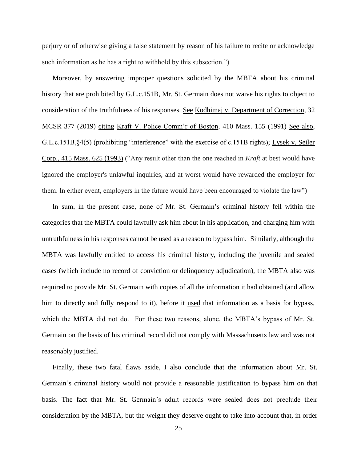perjury or of otherwise giving a false statement by reason of his failure to recite or acknowledge such information as he has a right to withhold by this subsection.")

Moreover, by answering improper questions solicited by the MBTA about his criminal history that are prohibited by G.L.c.151B, Mr. St. Germain does not waive his rights to object to consideration of the truthfulness of his responses. See Kodhimaj v. Department of Correction, 32 MCSR 377 (2019) citing Kraft V. Police Comm'r of Boston, 410 Mass. 155 (1991) See also, G.L.c.151B,§4(5) (prohibiting "interference" with the exercise of c.151B rights); Lysek v. Seiler Corp., 415 Mass. 625 (1993) ("Any result other than the one reached in *Kraft* at best would have ignored the employer's unlawful inquiries, and at worst would have rewarded the employer for them. In either event, employers in the future would have been encouraged to violate the law")

In sum, in the present case, none of Mr. St. Germain's criminal history fell within the categories that the MBTA could lawfully ask him about in his application, and charging him with untruthfulness in his responses cannot be used as a reason to bypass him. Similarly, although the MBTA was lawfully entitled to access his criminal history, including the juvenile and sealed cases (which include no record of conviction or delinquency adjudication), the MBTA also was required to provide Mr. St. Germain with copies of all the information it had obtained (and allow him to directly and fully respond to it), before it used that information as a basis for bypass, which the MBTA did not do. For these two reasons, alone, the MBTA's bypass of Mr. St. Germain on the basis of his criminal record did not comply with Massachusetts law and was not reasonably justified.

Finally, these two fatal flaws aside, I also conclude that the information about Mr. St. Germain's criminal history would not provide a reasonable justification to bypass him on that basis. The fact that Mr. St. Germain's adult records were sealed does not preclude their consideration by the MBTA, but the weight they deserve ought to take into account that, in order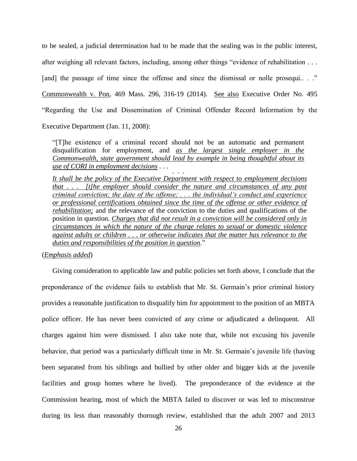to be sealed, a judicial determination had to be made that the sealing was in the public interest, after weighing all relevant factors, including, among other things "evidence of rehabilitation . . . [and] the passage of time since the offense and since the dismissal or nolle prosequi...." Commonwealth v. Pon, 469 Mass. 296, 316-19 (2014). See also Executive Order No. 495 "Regarding the Use and Dissemination of Criminal Offender Record Information by the Executive Department (Jan. 11, 2008):

"[T]he existence of a criminal record should not be an automatic and permanent disqualification for employment, and *as the largest single employer in the Commonwealth, state government should lead by example in being thoughtful about its use of CORI in employment decisions* . . . . . .

*It shall be the policy of the Executive Department with respect to employment decisions that . . . [t]he employer should consider the nature and circumstances of any past criminal conviction; the date of the offense; . . . the individual's conduct and experience or professional certifications obtained since the time of the offense or other evidence of rehabilitation;* and the relevance of the conviction to the duties and qualifications of the position in question. *Charges that did not result in a conviction will be considered only in circumstances in which the nature of the charge relates to sexual or domestic violence against adults or children . . . or otherwise indicates that the matter has relevance to the duties and responsibilities of the position in question*."

#### (*Emphasis added*)

Giving consideration to applicable law and public policies set forth above, I conclude that the preponderance of the evidence fails to establish that Mr. St. Germain's prior criminal history provides a reasonable justification to disqualify him for appointment to the position of an MBTA police officer. He has never been convicted of any crime or adjudicated a delinquent. All charges against him were dismissed. I also take note that, while not excusing his juvenile behavior, that period was a particularly difficult time in Mr. St. Germain's juvenile life (having been separated from his siblings and bullied by other older and bigger kids at the juvenile facilities and group homes where he lived). The preponderance of the evidence at the Commission hearing, most of which the MBTA failed to discover or was led to misconstrue during its less than reasonably thorough review, established that the adult 2007 and 2013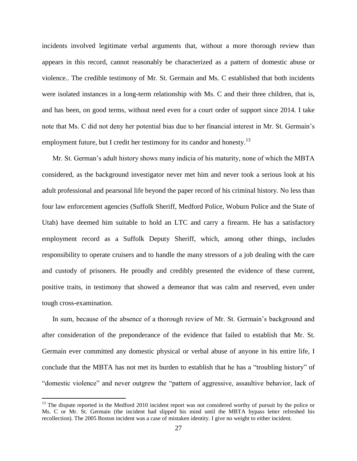incidents involved legitimate verbal arguments that, without a more thorough review than appears in this record, cannot reasonably be characterized as a pattern of domestic abuse or violence.. The credible testimony of Mr. St. Germain and Ms. C established that both incidents were isolated instances in a long-term relationship with Ms. C and their three children, that is, and has been, on good terms, without need even for a court order of support since 2014. I take note that Ms. C did not deny her potential bias due to her financial interest in Mr. St. Germain's employment future, but I credit her testimony for its candor and honesty.<sup>13</sup>

Mr. St. German's adult history shows many indicia of his maturity, none of which the MBTA considered, as the background investigator never met him and never took a serious look at his adult professional and pearsonal life beyond the paper record of his criminal history. No less than four law enforcement agencies (Suffolk Sheriff, Medford Police, Woburn Police and the State of Utah) have deemed him suitable to hold an LTC and carry a firearm. He has a satisfactory employment record as a Suffolk Deputy Sheriff, which, among other things, includes responsibility to operate cruisers and to handle the many stressors of a job dealing with the care and custody of prisoners. He proudly and credibly presented the evidence of these current, positive traits, in testimony that showed a demeanor that was calm and reserved, even under tough cross-examination.

In sum, because of the absence of a thorough review of Mr. St. Germain's background and after consideration of the preponderance of the evidence that failed to establish that Mr. St. Germain ever committed any domestic physical or verbal abuse of anyone in his entire life, I conclude that the MBTA has not met its burden to establish that he has a "troubling history" of "domestic violence" and never outgrew the "pattern of aggressive, assaultive behavior, lack of

 $<sup>13</sup>$  The dispute reported in the Medford 2010 incident report was not considered worthy of pursuit by the police or</sup> Ms. C or Mr. St. Germain (the incident had slipped his mind until the MBTA bypass letter refreshed his recollection). The 2005 Boston incident was a case of mistaken identity. I give no weight to either incident.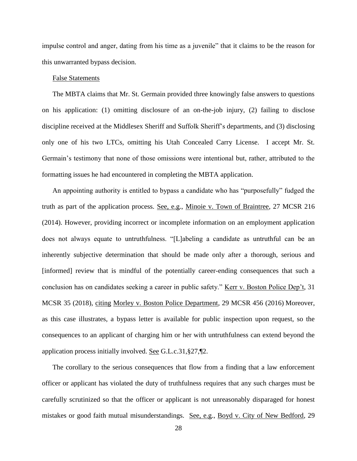impulse control and anger, dating from his time as a juvenile" that it claims to be the reason for this unwarranted bypass decision.

## False Statements

The MBTA claims that Mr. St. Germain provided three knowingly false answers to questions on his application: (1) omitting disclosure of an on-the-job injury, (2) failing to disclose discipline received at the Middlesex Sheriff and Suffolk Sheriff's departments, and (3) disclosing only one of his two LTCs, omitting his Utah Concealed Carry License. I accept Mr. St. Germain's testimony that none of those omissions were intentional but, rather, attributed to the formatting issues he had encountered in completing the MBTA application.

An appointing authority is entitled to bypass a candidate who has "purposefully" fudged the truth as part of the application process. See, e.g., Minoie v. Town of Braintree, 27 MCSR 216 (2014). However, providing incorrect or incomplete information on an employment application does not always equate to untruthfulness. "[L]abeling a candidate as untruthful can be an inherently subjective determination that should be made only after a thorough, serious and [informed] review that is mindful of the potentially career-ending consequences that such a conclusion has on candidates seeking a career in public safety." Kerr v. Boston Police Dep't, 31 MCSR 35 (2018), citing Morley v. Boston Police Department, 29 MCSR 456 (2016) Moreover, as this case illustrates, a bypass letter is available for public inspection upon request, so the consequences to an applicant of charging him or her with untruthfulness can extend beyond the application process initially involved. See G.L.c.31,§27,¶2.

The corollary to the serious consequences that flow from a finding that a law enforcement officer or applicant has violated the duty of truthfulness requires that any such charges must be carefully scrutinized so that the officer or applicant is not unreasonably disparaged for honest mistakes or good faith mutual misunderstandings. See, e.g., Boyd v. City of New Bedford, 29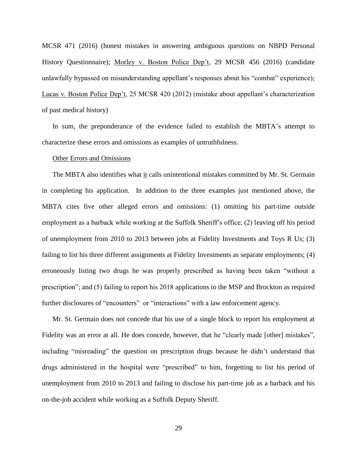MCSR 471 (2016) (honest mistakes in answering ambiguous questions on NBPD Personal History Questionnaire); Morley v. Boston Police Dep't, 29 MCSR 456 (2016) (candidate unlawfully bypassed on misunderstanding appellant's responses about his "combat" experience); Lucas v. Boston Police Dep't, 25 MCSR 420 (2012) (mistake about appellant's characterization of past medical history)

In sum, the preponderance of the evidence failed to establish the MBTA's attempt to characterize these errors and omissions as examples of untruthfulness.

#### Other Errors and Omissions

The MBTA also identifies what it calls unintentional mistakes committed by Mr. St. Germain in completing his application. In addition to the three examples just mentioned above, the MBTA cites five other alleged errors and omissions: (1) omitting his part-time outside employment as a barback while working at the Suffolk Sheriff's office; (2) leaving off his period of unemployment from 2010 to 2013 between jobs at Fidelity Investments and Toys R Us; (3) failing to list his three different assignments at Fidelity Investments as separate employments; (4) erroneously listing two drugs he was properly prescribed as having been taken "without a prescription"; and (5) failing to report his 2018 applications to the MSP and Brockton as required further disclosures of "encounters" or "interactions" with a law enforcement agency.

Mr. St. Germain does not concede that his use of a single block to report his employment at Fidelity was an error at all. He does concede, however, that he "clearly made [other] mistakes", including "misreading" the question on prescription drugs because he didn't understand that drugs administered in the hospital were "prescribed" to him, forgetting to list his period of unemployment from 2010 to 2013 and failing to disclose his part-time job as a barback and his on-the-job accident while working as a Suffolk Deputy Sheriff.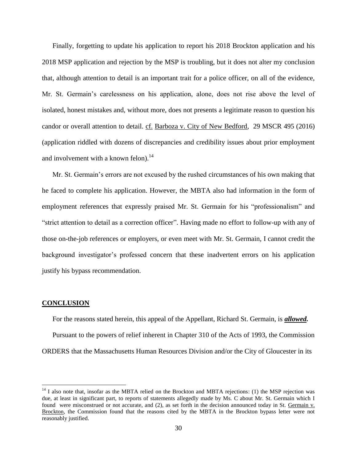Finally, forgetting to update his application to report his 2018 Brockton application and his 2018 MSP application and rejection by the MSP is troubling, but it does not alter my conclusion that, although attention to detail is an important trait for a police officer, on all of the evidence, Mr. St. Germain's carelessness on his application, alone, does not rise above the level of isolated, honest mistakes and, without more, does not presents a legitimate reason to question his candor or overall attention to detail. cf. Barboza v. City of New Bedford, 29 MSCR 495 (2016) (application riddled with dozens of discrepancies and credibility issues about prior employment and involvement with a known felon).<sup>14</sup>

Mr. St. Germain's errors are not excused by the rushed circumstances of his own making that he faced to complete his application. However, the MBTA also had information in the form of employment references that expressly praised Mr. St. Germain for his "professionalism" and "strict attention to detail as a correction officer". Having made no effort to follow-up with any of those on-the-job references or employers, or even meet with Mr. St. Germain, I cannot credit the background investigator's professed concern that these inadvertent errors on his application justify his bypass recommendation.

#### **CONCLUSION**

 $\overline{a}$ 

For the reasons stated herein, this appeal of the Appellant, Richard St. Germain, is *allowed.*  Pursuant to the powers of relief inherent in Chapter 310 of the Acts of 1993, the Commission ORDERS that the Massachusetts Human Resources Division and/or the City of Gloucester in its

<sup>&</sup>lt;sup>14</sup> I also note that, insofar as the MBTA relied on the Brockton and MBTA rejections: (1) the MSP rejection was due, at least in significant part, to reports of statements allegedly made by Ms. C about Mr. St. Germain which I found were misconstrued or not accurate, and (2), as set forth in the decision announced today in St. Germain v. Brockton, the Commission found that the reasons cited by the MBTA in the Brockton bypass letter were not reasonably justified.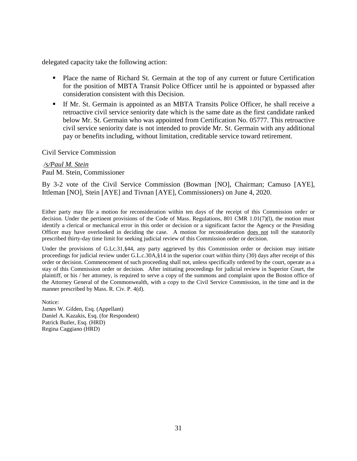delegated capacity take the following action:

- Place the name of Richard St. Germain at the top of any current or future Certification for the position of MBTA Transit Police Officer until he is appointed or bypassed after consideration consistent with this Decision.
- If Mr. St. Germain is appointed as an MBTA Transits Police Officer, he shall receive a retroactive civil service seniority date which is the same date as the first candidate ranked below Mr. St. Germain who was appointed from Certification No. 05777. This retroactive civil service seniority date is not intended to provide Mr. St. Germain with any additional pay or benefits including, without limitation, creditable service toward retirement.

Civil Service Commission

*/s/Paul M. Stein*  Paul M. Stein, Commissioner

By 3-2 vote of the Civil Service Commission (Bowman [NO], Chairman; Camuso [AYE], Ittleman [NO], Stein [AYE] and Tivnan [AYE], Commissioners) on June 4, 2020.

Either party may file a motion for reconsideration within ten days of the receipt of this Commission order or decision. Under the pertinent provisions of the Code of Mass. Regulations, 801 CMR 1.01(7)(l), the motion must identify a clerical or mechanical error in this order or decision or a significant factor the Agency or the Presiding Officer may have overlooked in deciding the case. A motion for reconsideration does not toll the statutorily prescribed thirty-day time limit for seeking judicial review of this Commission order or decision.

Under the provisions of G.Lc.31, §44, any party aggrieved by this Commission order or decision may initiate proceedings for judicial review under G.L.c.30A,§14 in the superior court within thirty (30) days after receipt of this order or decision. Commencement of such proceeding shall not, unless specifically ordered by the court, operate as a stay of this Commission order or decision. After initiating proceedings for judicial review in Superior Court, the plaintiff, or his / her attorney, is required to serve a copy of the summons and complaint upon the Boston office of the Attorney General of the Commonwealth, with a copy to the Civil Service Commission, in the time and in the manner prescribed by Mass. R. Civ. P. 4(d).

Notice: James W. Gilden, Esq. (Appellant) Daniel A. Kazakis, Esq. (for Respondent) Patrick Butler, Esq. (HRD) Regina Caggiano (HRD)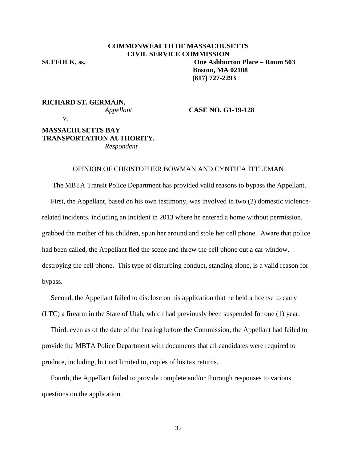# **COMMONWEALTH OF MASSACHUSETTS CIVIL SERVICE COMMISSION**

v.

**SUFFOLK, ss. One Ashburton Place – Room 503 Boston, MA 02108 (617) 727-2293**

**RICHARD ST. GERMAIN,**

*Appellant* **CASE NO. G1-19-128**

**MASSACHUSETTS BAY TRANSPORTATION AUTHORITY,** *Respondent*

#### OPINION OF CHRISTOPHER BOWMAN AND CYNTHIA ITTLEMAN

 The MBTA Transit Police Department has provided valid reasons to bypass the Appellant. First, the Appellant, based on his own testimony, was involved in two (2) domestic violencerelated incidents, including an incident in 2013 where he entered a home without permission, grabbed the mother of his children, spun her around and stole her cell phone. Aware that police had been called, the Appellant fled the scene and threw the cell phone out a car window, destroying the cell phone. This type of disturbing conduct, standing alone, is a valid reason for bypass.

 Second, the Appellant failed to disclose on his application that he held a license to carry (LTC) a firearm in the State of Utah, which had previously been suspended for one (1) year.

 Third, even as of the date of the hearing before the Commission, the Appellant had failed to provide the MBTA Police Department with documents that all candidates were required to produce, including, but not limited to, copies of his tax returns.

 Fourth, the Appellant failed to provide complete and/or thorough responses to various questions on the application.